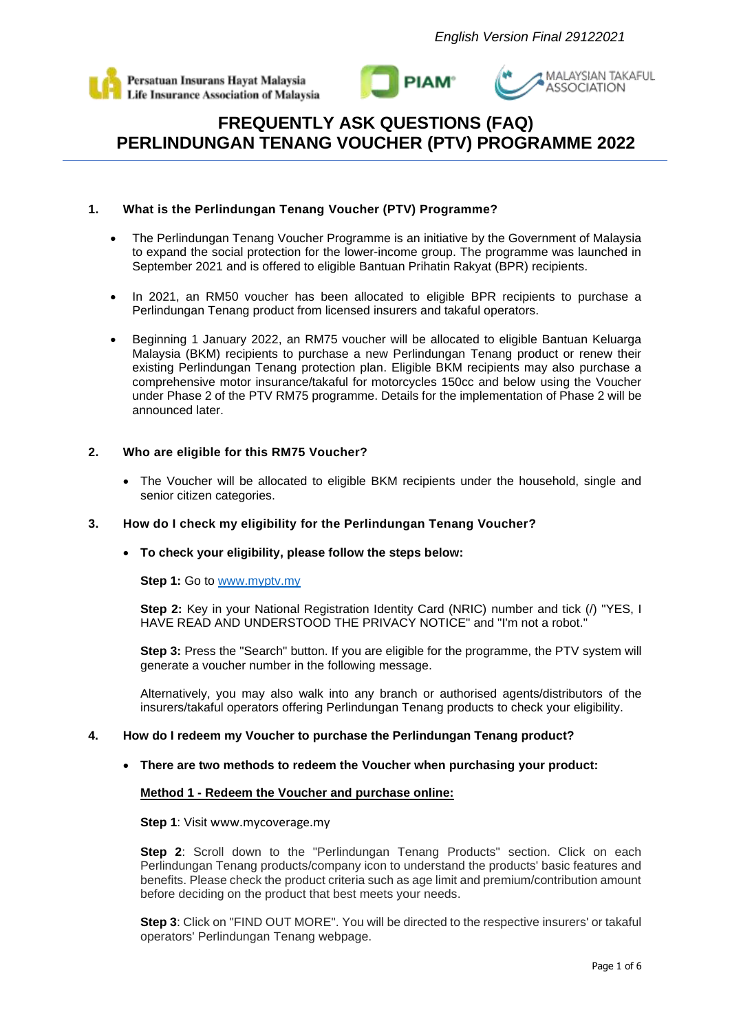





# **1. What is the Perlindungan Tenang Voucher (PTV) Programme?**

- The Perlindungan Tenang Voucher Programme is an initiative by the Government of Malaysia to expand the social protection for the lower-income group. The programme was launched in September 2021 and is offered to eligible Bantuan Prihatin Rakyat (BPR) recipients.
- In 2021, an RM50 voucher has been allocated to eligible BPR recipients to purchase a Perlindungan Tenang product from licensed insurers and takaful operators.
- Beginning 1 January 2022, an RM75 voucher will be allocated to eligible Bantuan Keluarga Malaysia (BKM) recipients to purchase a new Perlindungan Tenang product or renew their existing Perlindungan Tenang protection plan. Eligible BKM recipients may also purchase a comprehensive motor insurance/takaful for motorcycles 150cc and below using the Voucher under Phase 2 of the PTV RM75 programme. Details for the implementation of Phase 2 will be announced later.

# **2. Who are eligible for this RM75 Voucher?**

• The Voucher will be allocated to eligible BKM recipients under the household, single and senior citizen categories.

# **3. How do I check my eligibility for the Perlindungan Tenang Voucher?**

### • **To check your eligibility, please follow the steps below:**

### **Step 1:** Go to [www.myptv.my](http://www.myptv.my/)

**Step 2:** Key in your National Registration Identity Card (NRIC) number and tick (/) "YES, I HAVE READ AND UNDERSTOOD THE PRIVACY NOTICE" and "I'm not a robot."

**Step 3:** Press the "Search" button. If you are eligible for the programme, the PTV system will generate a voucher number in the following message.

Alternatively, you may also walk into any branch or authorised agents/distributors of the insurers/takaful operators offering Perlindungan Tenang products to check your eligibility.

### **4. How do I redeem my Voucher to purchase the Perlindungan Tenang product?**

### • **There are two methods to redeem the Voucher when purchasing your product:**

### **Method 1 - Redeem the Voucher and purchase online:**

**Step 1**: Visit www.mycoverage.my

**Step 2**: Scroll down to the "Perlindungan Tenang Products" section. Click on each Perlindungan Tenang products/company icon to understand the products' basic features and benefits. Please check the product criteria such as age limit and premium/contribution amount before deciding on the product that best meets your needs.

**Step 3**: Click on "FIND OUT MORE". You will be directed to the respective insurers' or takaful operators' Perlindungan Tenang webpage.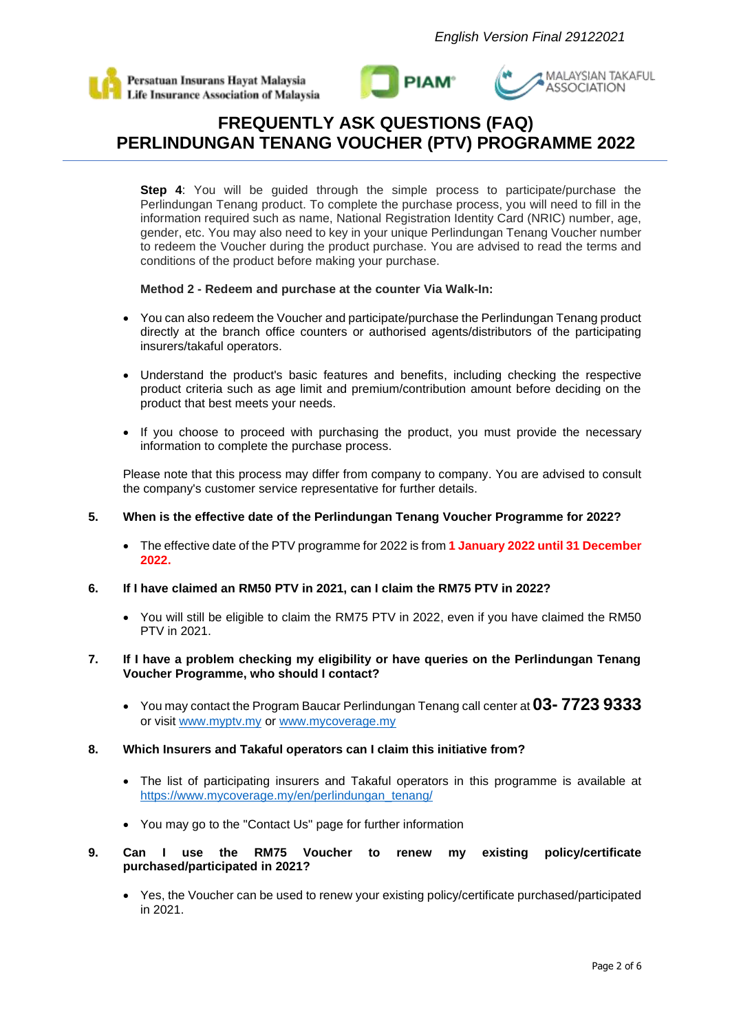





**Step 4**: You will be guided through the simple process to participate/purchase the Perlindungan Tenang product. To complete the purchase process, you will need to fill in the information required such as name, National Registration Identity Card (NRIC) number, age, gender, etc. You may also need to key in your unique Perlindungan Tenang Voucher number to redeem the Voucher during the product purchase. You are advised to read the terms and conditions of the product before making your purchase.

## **Method 2 - Redeem and purchase at the counter Via Walk-In:**

- You can also redeem the Voucher and participate/purchase the Perlindungan Tenang product directly at the branch office counters or authorised agents/distributors of the participating insurers/takaful operators.
- Understand the product's basic features and benefits, including checking the respective product criteria such as age limit and premium/contribution amount before deciding on the product that best meets your needs.
- If you choose to proceed with purchasing the product, you must provide the necessary information to complete the purchase process.

Please note that this process may differ from company to company. You are advised to consult the company's customer service representative for further details.

## **5. When is the effective date of the Perlindungan Tenang Voucher Programme for 2022?**

- The effective date of the PTV programme for 2022 is from **1 January 2022 until 31 December 2022.**
- **6. If I have claimed an RM50 PTV in 2021, can I claim the RM75 PTV in 2022?**
	- You will still be eligible to claim the RM75 PTV in 2022, even if you have claimed the RM50 PTV in 2021.

### **7. If I have a problem checking my eligibility or have queries on the Perlindungan Tenang Voucher Programme, who should I contact?**

• You may contact the Program Baucar Perlindungan Tenang call center at **03- 7723 9333** or visit [www.myptv.my](http://www.myptv.my/) or [www.mycoverage.my](http://www.mycoverage.my/)

### **8. Which Insurers and Takaful operators can I claim this initiative from?**

- The list of participating insurers and Takaful operators in this programme is available at [https://www.mycoverage.my/en/perlindungan\\_tenang/](https://www.mycoverage.my/en/perlindungan_tenang/)
- You may go to the "Contact Us" page for further information
- **9. Can I use the RM75 Voucher to renew my existing policy/certificate purchased/participated in 2021?**
	- Yes, the Voucher can be used to renew your existing policy/certificate purchased/participated in 2021.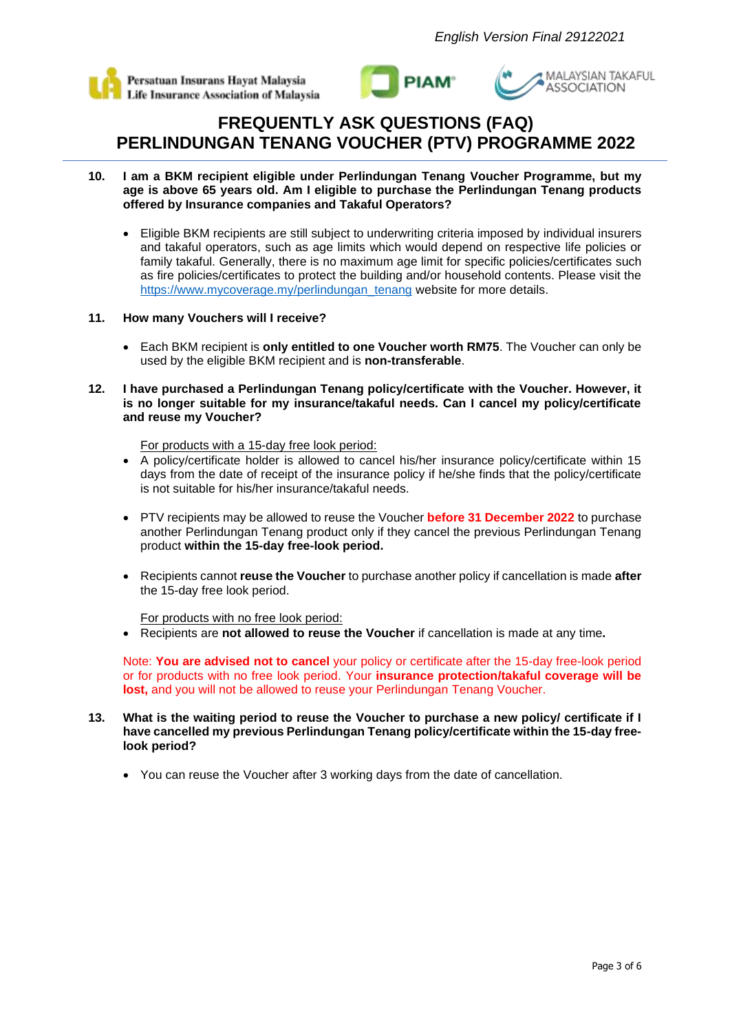





- **10. I am a BKM recipient eligible under Perlindungan Tenang Voucher Programme, but my age is above 65 years old. Am I eligible to purchase the Perlindungan Tenang products offered by Insurance companies and Takaful Operators?** 
	- Eligible BKM recipients are still subject to underwriting criteria imposed by individual insurers and takaful operators, such as age limits which would depend on respective life policies or family takaful. Generally, there is no maximum age limit for specific policies/certificates such as fire policies/certificates to protect the building and/or household contents. Please visit the [https://www.mycoverage.my/perlindungan\\_tenang](https://www.mycoverage.my/perlindungan_tenang) website for more details.

## **11. How many Vouchers will I receive?**

- Each BKM recipient is **only entitled to one Voucher worth RM75**. The Voucher can only be used by the eligible BKM recipient and is **non-transferable**.
- **12. I have purchased a Perlindungan Tenang policy/certificate with the Voucher. However, it is no longer suitable for my insurance/takaful needs. Can I cancel my policy/certificate and reuse my Voucher?**

For products with a 15-day free look period:

- A policy/certificate holder is allowed to cancel his/her insurance policy/certificate within 15 days from the date of receipt of the insurance policy if he/she finds that the policy/certificate is not suitable for his/her insurance/takaful needs.
- PTV recipients may be allowed to reuse the Voucher **before 31 December 2022** to purchase another Perlindungan Tenang product only if they cancel the previous Perlindungan Tenang product **within the 15-day free-look period.**
- Recipients cannot **reuse the Voucher** to purchase another policy if cancellation is made **after**  the 15-day free look period.

For products with no free look period:

• Recipients are **not allowed to reuse the Voucher** if cancellation is made at any time**.**

Note: **You are advised not to cancel** your policy or certificate after the 15-day free-look period or for products with no free look period. Your **insurance protection/takaful coverage will be lost,** and you will not be allowed to reuse your Perlindungan Tenang Voucher.

- **13. What is the waiting period to reuse the Voucher to purchase a new policy/ certificate if I have cancelled my previous Perlindungan Tenang policy/certificate within the 15-day freelook period?**
	- You can reuse the Voucher after 3 working days from the date of cancellation.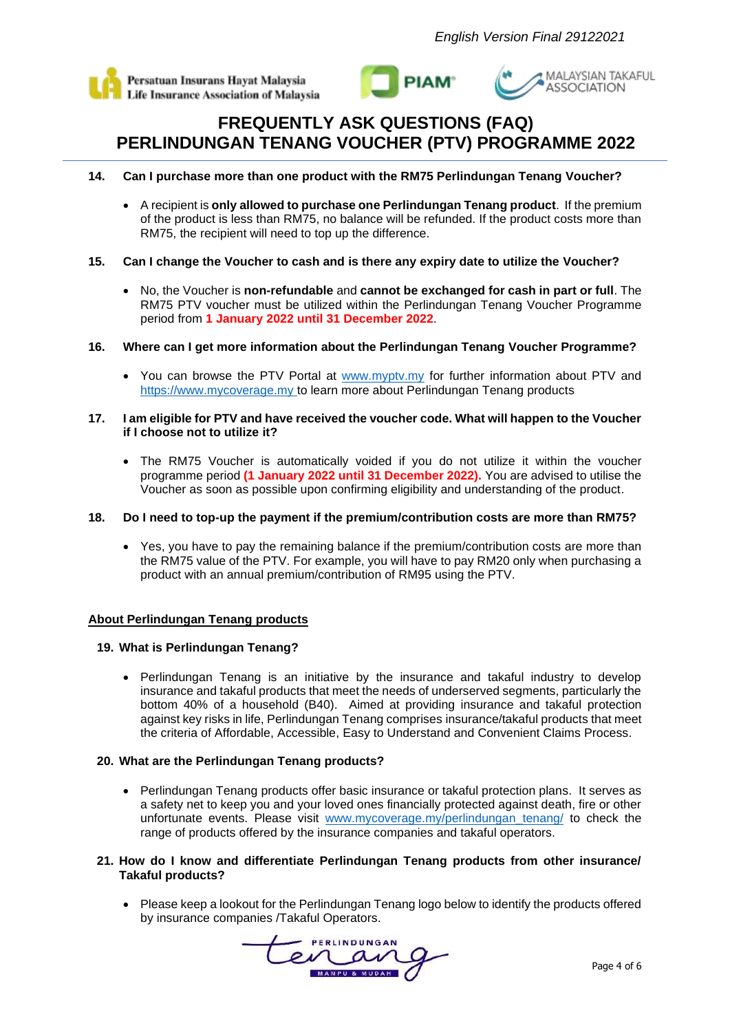





- **14. Can I purchase more than one product with the RM75 Perlindungan Tenang Voucher?**
	- A recipient is **only allowed to purchase one Perlindungan Tenang product**. If the premium of the product is less than RM75, no balance will be refunded. If the product costs more than RM75, the recipient will need to top up the difference.
- **15. Can I change the Voucher to cash and is there any expiry date to utilize the Voucher?**
	- No, the Voucher is **non-refundable** and **cannot be exchanged for cash in part or full**. The RM75 PTV voucher must be utilized within the Perlindungan Tenang Voucher Programme period from **1 January 2022 until 31 December 2022**.
- **16. Where can I get more information about the Perlindungan Tenang Voucher Programme?**
	- You can browse the PTV Portal at [www.myptv.my](http://www.myptv.my/) for further information about PTV and https://www.mycoverage.my to learn more about Perlindungan Tenang products
- **17. I am eligible for PTV and have received the voucher code. What will happen to the Voucher if I choose not to utilize it?**
	- The RM75 Voucher is automatically voided if you do not utilize it within the voucher programme period **(1 January 2022 until 31 December 2022).** You are advised to utilise the Voucher as soon as possible upon confirming eligibility and understanding of the product.
- **18. Do I need to top-up the payment if the premium/contribution costs are more than RM75?**
	- Yes, you have to pay the remaining balance if the premium/contribution costs are more than the RM75 value of the PTV. For example, you will have to pay RM20 only when purchasing a product with an annual premium/contribution of RM95 using the PTV.

# **About Perlindungan Tenang products**

# **19. What is Perlindungan Tenang?**

• Perlindungan Tenang is an initiative by the insurance and takaful industry to develop insurance and takaful products that meet the needs of underserved segments, particularly the bottom 40% of a household (B40). Aimed at providing insurance and takaful protection against key risks in life, Perlindungan Tenang comprises insurance/takaful products that meet the criteria of Affordable, Accessible, Easy to Understand and Convenient Claims Process.

# **20. What are the Perlindungan Tenang products?**

• Perlindungan Tenang products offer basic insurance or takaful protection plans. It serves as a safety net to keep you and your loved ones financially protected against death, fire or other unfortunate events. Please visit [www.mycoverage.my/perlindungan\\_tenang/](http://www.mycoverage.my/perlindungan_tenang/) to check the range of products offered by the insurance companies and takaful operators.

## **21. How do I know and differentiate Perlindungan Tenang products from other insurance/ Takaful products?**

• Please keep a lookout for the Perlindungan Tenang logo below to identify the products offered by insurance companies /Takaful Operators.

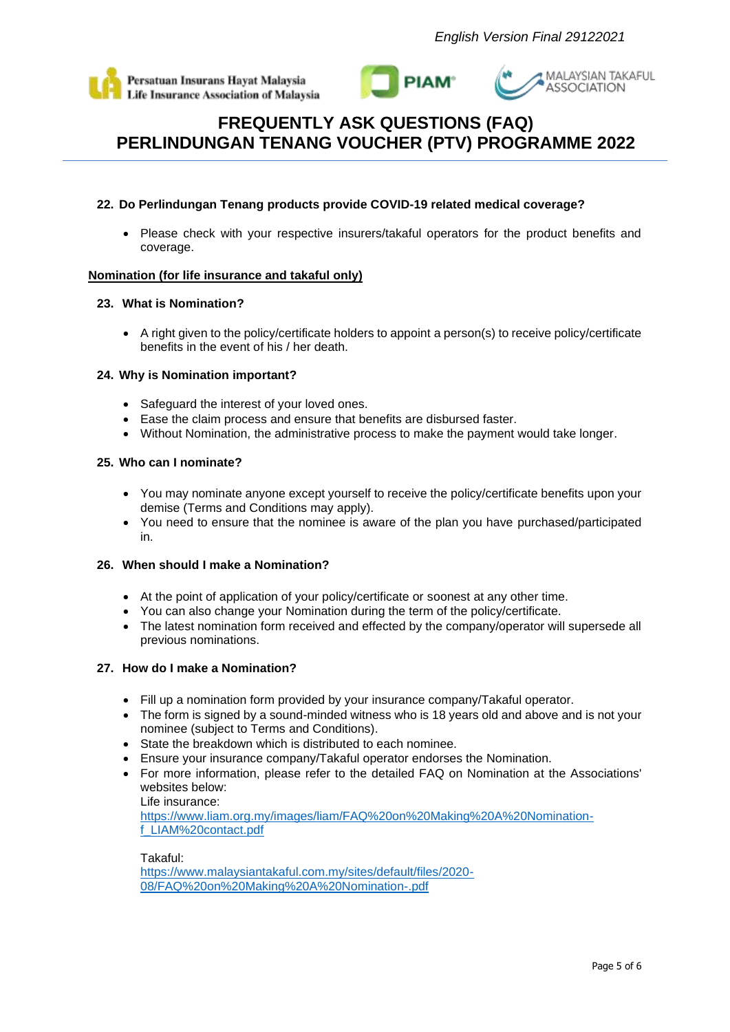





# **22. Do Perlindungan Tenang products provide COVID-19 related medical coverage?**

• Please check with your respective insurers/takaful operators for the product benefits and coverage.

## **Nomination (for life insurance and takaful only)**

## **23. What is Nomination?**

• A right given to the policy/certificate holders to appoint a person(s) to receive policy/certificate benefits in the event of his / her death.

## **24. Why is Nomination important?**

- Safeguard the interest of your loved ones.
- Ease the claim process and ensure that benefits are disbursed faster.
- Without Nomination, the administrative process to make the payment would take longer.

## **25. Who can I nominate?**

- You may nominate anyone except yourself to receive the policy/certificate benefits upon your demise (Terms and Conditions may apply).
- You need to ensure that the nominee is aware of the plan you have purchased/participated in.

### **26. When should I make a Nomination?**

- At the point of application of your policy/certificate or soonest at any other time.
- You can also change your Nomination during the term of the policy/certificate.
- The latest nomination form received and effected by the company/operator will supersede all previous nominations.

## **27. How do I make a Nomination?**

- Fill up a nomination form provided by your insurance company/Takaful operator.
- The form is signed by a sound-minded witness who is 18 years old and above and is not your nominee (subject to Terms and Conditions).
- State the breakdown which is distributed to each nominee.
- Ensure your insurance company/Takaful operator endorses the Nomination.
- For more information, please refer to the detailed FAQ on Nomination at the Associations' websites below:

Life insurance: [https://www.liam.org.my/images/liam/FAQ%20on%20Making%20A%20Nomination](https://www.liam.org.my/images/liam/FAQ%20on%20Making%20A%20Nomination-f_LIAM%20contact.pdf)[f\\_LIAM%20contact.pdf](https://www.liam.org.my/images/liam/FAQ%20on%20Making%20A%20Nomination-f_LIAM%20contact.pdf)

Takaful: [https://www.malaysiantakaful.com.my/sites/default/files/2020-](https://www.malaysiantakaful.com.my/sites/default/files/2020-08/FAQ%20on%20Making%20A%20Nomination-.pdf) [08/FAQ%20on%20Making%20A%20Nomination-.pdf](https://www.malaysiantakaful.com.my/sites/default/files/2020-08/FAQ%20on%20Making%20A%20Nomination-.pdf)